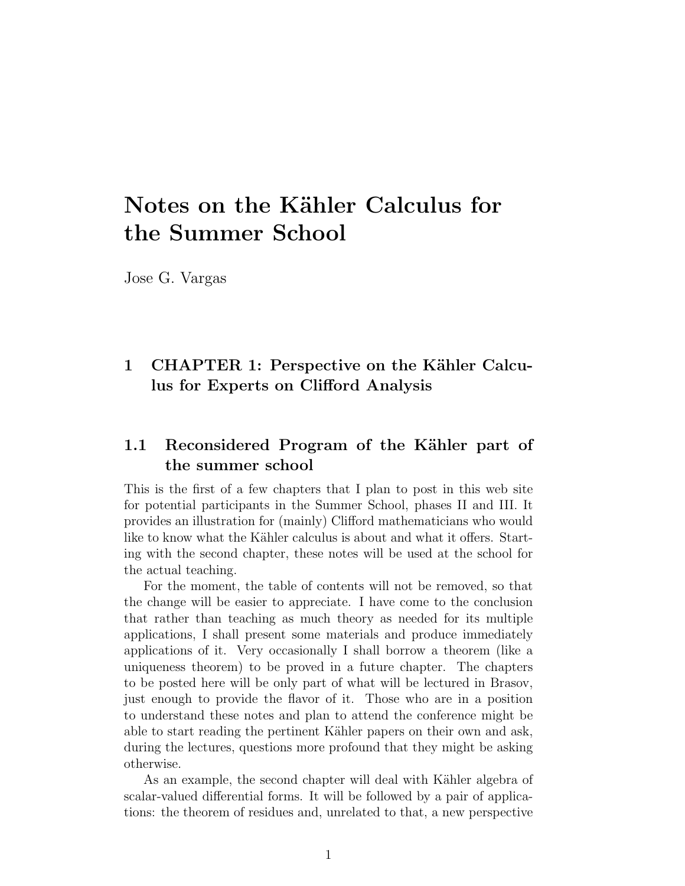# Notes on the Kähler Calculus for the Summer School

Jose G. Vargas

## 1 CHAPTER 1: Perspective on the Kähler Calculus for Experts on Clifford Analysis

### 1.1 Reconsidered Program of the Kähler part of the summer school

This is the first of a few chapters that I plan to post in this web site for potential participants in the Summer School, phases II and III. It provides an illustration for (mainly) Clifford mathematicians who would like to know what the Kähler calculus is about and what it offers. Starting with the second chapter, these notes will be used at the school for the actual teaching.

For the moment, the table of contents will not be removed, so that the change will be easier to appreciate. I have come to the conclusion that rather than teaching as much theory as needed for its multiple applications, I shall present some materials and produce immediately applications of it. Very occasionally I shall borrow a theorem (like a uniqueness theorem) to be proved in a future chapter. The chapters to be posted here will be only part of what will be lectured in Brasov, just enough to provide the flavor of it. Those who are in a position to understand these notes and plan to attend the conference might be able to start reading the pertinent Kähler papers on their own and ask, during the lectures, questions more profound that they might be asking otherwise.

As an example, the second chapter will deal with Kähler algebra of scalar-valued differential forms. It will be followed by a pair of applications: the theorem of residues and, unrelated to that, a new perspective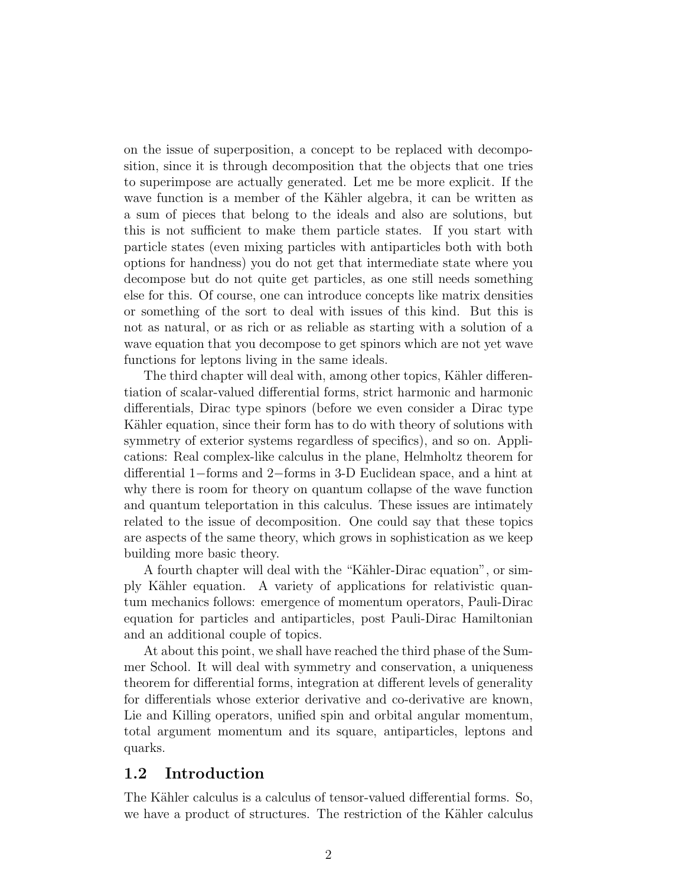on the issue of superposition, a concept to be replaced with decomposition, since it is through decomposition that the objects that one tries to superimpose are actually generated. Let me be more explicit. If the wave function is a member of the Kähler algebra, it can be written as a sum of pieces that belong to the ideals and also are solutions, but this is not sufficient to make them particle states. If you start with particle states (even mixing particles with antiparticles both with both options for handness) you do not get that intermediate state where you decompose but do not quite get particles, as one still needs something else for this. Of course, one can introduce concepts like matrix densities or something of the sort to deal with issues of this kind. But this is not as natural, or as rich or as reliable as starting with a solution of a wave equation that you decompose to get spinors which are not yet wave functions for leptons living in the same ideals.

The third chapter will deal with, among other topics, Kähler differentiation of scalar-valued differential forms, strict harmonic and harmonic differentials, Dirac type spinors (before we even consider a Dirac type Kähler equation, since their form has to do with theory of solutions with symmetry of exterior systems regardless of specifics), and so on. Applications: Real complex-like calculus in the plane, Helmholtz theorem for differential 1−forms and 2−forms in 3-D Euclidean space, and a hint at why there is room for theory on quantum collapse of the wave function and quantum teleportation in this calculus. These issues are intimately related to the issue of decomposition. One could say that these topics are aspects of the same theory, which grows in sophistication as we keep building more basic theory.

A fourth chapter will deal with the "Kähler-Dirac equation", or simply K¨ahler equation. A variety of applications for relativistic quantum mechanics follows: emergence of momentum operators, Pauli-Dirac equation for particles and antiparticles, post Pauli-Dirac Hamiltonian and an additional couple of topics.

At about this point, we shall have reached the third phase of the Summer School. It will deal with symmetry and conservation, a uniqueness theorem for differential forms, integration at different levels of generality for differentials whose exterior derivative and co-derivative are known, Lie and Killing operators, unified spin and orbital angular momentum, total argument momentum and its square, antiparticles, leptons and quarks.

#### 1.2 Introduction

The Kähler calculus is a calculus of tensor-valued differential forms. So, we have a product of structures. The restriction of the Kähler calculus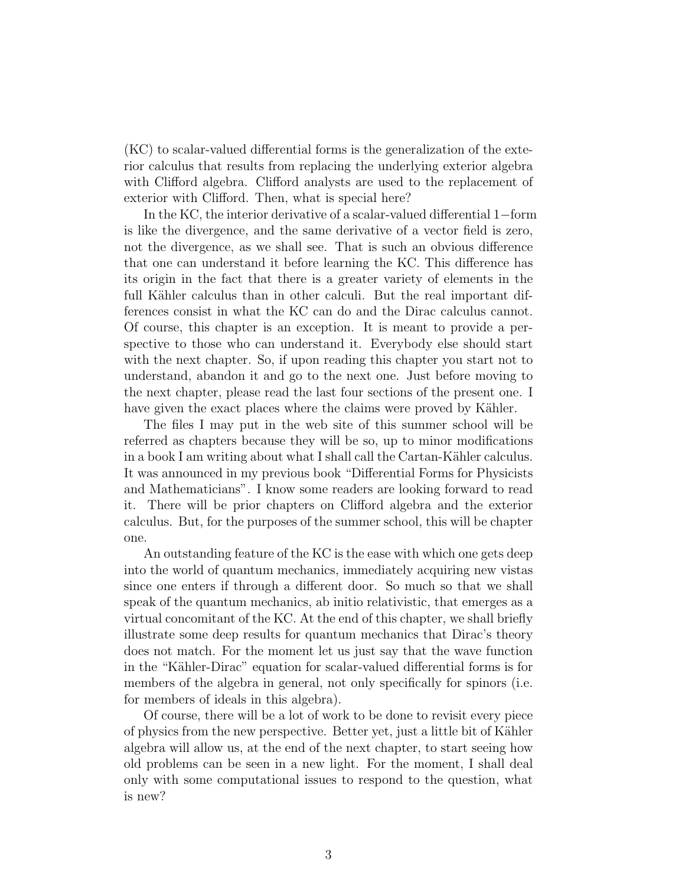(KC) to scalar-valued differential forms is the generalization of the exterior calculus that results from replacing the underlying exterior algebra with Clifford algebra. Clifford analysts are used to the replacement of exterior with Clifford. Then, what is special here?

In the KC, the interior derivative of a scalar-valued differential 1−form is like the divergence, and the same derivative of a vector field is zero, not the divergence, as we shall see. That is such an obvious difference that one can understand it before learning the KC. This difference has its origin in the fact that there is a greater variety of elements in the full Kähler calculus than in other calculi. But the real important differences consist in what the KC can do and the Dirac calculus cannot. Of course, this chapter is an exception. It is meant to provide a perspective to those who can understand it. Everybody else should start with the next chapter. So, if upon reading this chapter you start not to understand, abandon it and go to the next one. Just before moving to the next chapter, please read the last four sections of the present one. I have given the exact places where the claims were proved by Kähler.

The files I may put in the web site of this summer school will be referred as chapters because they will be so, up to minor modifications in a book I am writing about what I shall call the Cartan-Kähler calculus. It was announced in my previous book "Differential Forms for Physicists and Mathematicians". I know some readers are looking forward to read it. There will be prior chapters on Clifford algebra and the exterior calculus. But, for the purposes of the summer school, this will be chapter one.

An outstanding feature of the KC is the ease with which one gets deep into the world of quantum mechanics, immediately acquiring new vistas since one enters if through a different door. So much so that we shall speak of the quantum mechanics, ab initio relativistic, that emerges as a virtual concomitant of the KC. At the end of this chapter, we shall briefly illustrate some deep results for quantum mechanics that Dirac's theory does not match. For the moment let us just say that the wave function in the "Kähler-Dirac" equation for scalar-valued differential forms is for members of the algebra in general, not only specifically for spinors (i.e. for members of ideals in this algebra).

Of course, there will be a lot of work to be done to revisit every piece of physics from the new perspective. Better yet, just a little bit of Kähler algebra will allow us, at the end of the next chapter, to start seeing how old problems can be seen in a new light. For the moment, I shall deal only with some computational issues to respond to the question, what is new?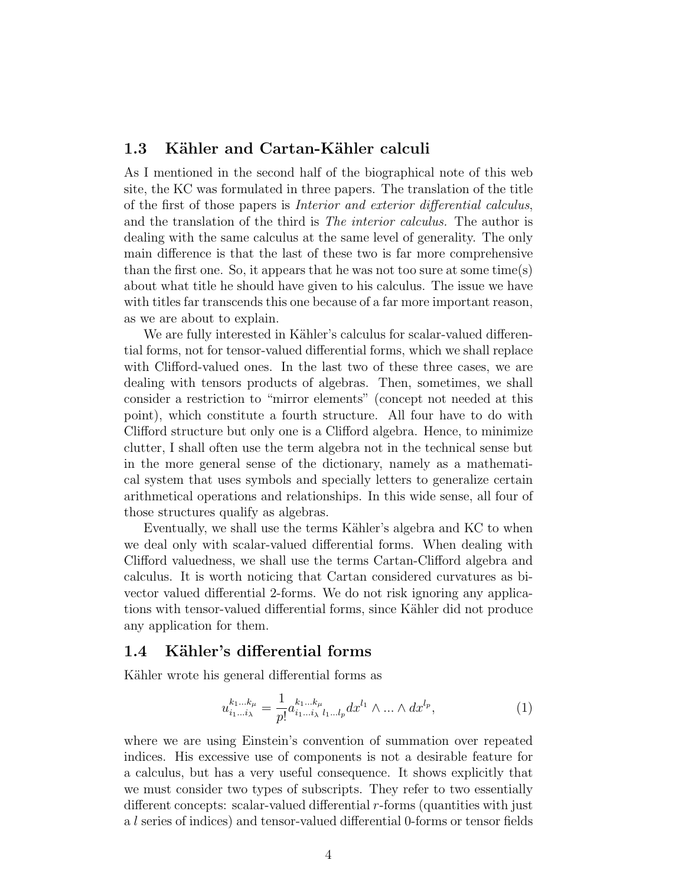#### 1.3 Kähler and Cartan-Kähler calculi

As I mentioned in the second half of the biographical note of this web site, the KC was formulated in three papers. The translation of the title of the first of those papers is Interior and exterior differential calculus, and the translation of the third is The interior calculus. The author is dealing with the same calculus at the same level of generality. The only main difference is that the last of these two is far more comprehensive than the first one. So, it appears that he was not too sure at some time(s) about what title he should have given to his calculus. The issue we have with titles far transcends this one because of a far more important reason, as we are about to explain.

We are fully interested in Kähler's calculus for scalar-valued differential forms, not for tensor-valued differential forms, which we shall replace with Clifford-valued ones. In the last two of these three cases, we are dealing with tensors products of algebras. Then, sometimes, we shall consider a restriction to "mirror elements" (concept not needed at this point), which constitute a fourth structure. All four have to do with Clifford structure but only one is a Clifford algebra. Hence, to minimize clutter, I shall often use the term algebra not in the technical sense but in the more general sense of the dictionary, namely as a mathematical system that uses symbols and specially letters to generalize certain arithmetical operations and relationships. In this wide sense, all four of those structures qualify as algebras.

Eventually, we shall use the terms Kähler's algebra and KC to when we deal only with scalar-valued differential forms. When dealing with Clifford valuedness, we shall use the terms Cartan-Clifford algebra and calculus. It is worth noticing that Cartan considered curvatures as bivector valued differential 2-forms. We do not risk ignoring any applications with tensor-valued differential forms, since Kähler did not produce any application for them.

#### 1.4 Kähler's differential forms

Kähler wrote his general differential forms as

$$
u_{i_1...i_\lambda}^{k_1...k_\mu} = \frac{1}{p!} a_{i_1...i_\lambda}^{k_1...k_\mu} dx^{l_1} \wedge ... \wedge dx^{l_p},
$$
\n(1)

where we are using Einstein's convention of summation over repeated indices. His excessive use of components is not a desirable feature for a calculus, but has a very useful consequence. It shows explicitly that we must consider two types of subscripts. They refer to two essentially different concepts: scalar-valued differential  $r$ -forms (quantities with just a l series of indices) and tensor-valued differential 0-forms or tensor fields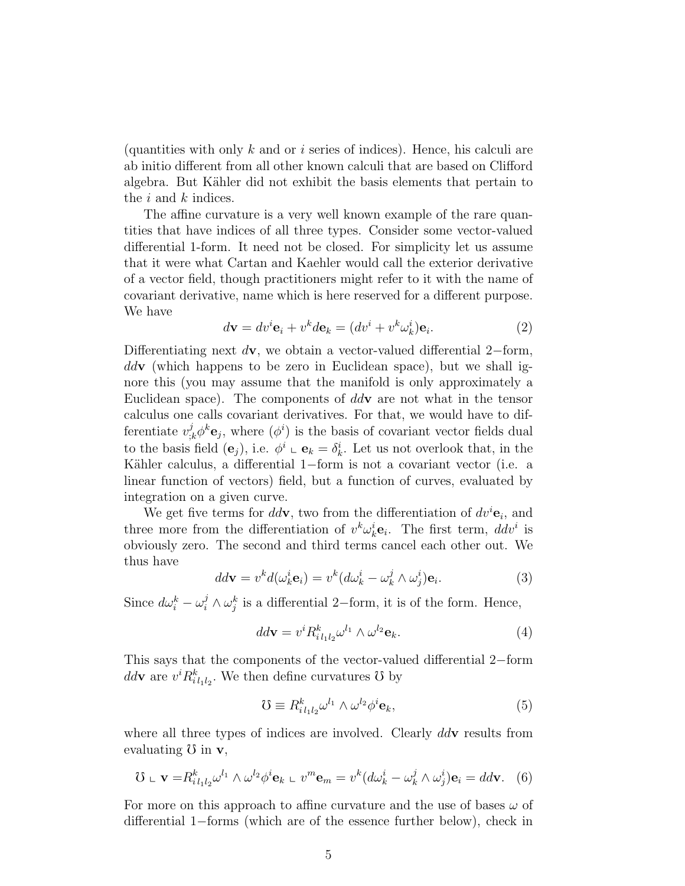(quantities with only k and or i series of indices). Hence, his calculi are ab initio different from all other known calculi that are based on Clifford algebra. But K¨ahler did not exhibit the basis elements that pertain to the i and k indices.

The affine curvature is a very well known example of the rare quantities that have indices of all three types. Consider some vector-valued differential 1-form. It need not be closed. For simplicity let us assume that it were what Cartan and Kaehler would call the exterior derivative of a vector field, though practitioners might refer to it with the name of covariant derivative, name which is here reserved for a different purpose. We have

$$
d\mathbf{v} = dv^i \mathbf{e}_i + v^k d\mathbf{e}_k = (dv^i + v^k \omega_k^i) \mathbf{e}_i.
$$
 (2)

Differentiating next  $d\mathbf{v}$ , we obtain a vector-valued differential 2–form,  $ddv$  (which happens to be zero in Euclidean space), but we shall ignore this (you may assume that the manifold is only approximately a Euclidean space). The components of  $ddv$  are not what in the tensor calculus one calls covariant derivatives. For that, we would have to differentiate  $v_{,k}^{j} \phi^{k} \mathbf{e}_{j}$ , where  $(\phi^{i})$  is the basis of covariant vector fields dual to the basis field  $(e_j)$ , i.e.  $\phi^i \circ e_k = \delta^i_k$ . Let us not overlook that, in the Kähler calculus, a differential 1−form is not a covariant vector (i.e. a linear function of vectors) field, but a function of curves, evaluated by integration on a given curve.

We get five terms for  $dd\mathbf{v}$ , two from the differentiation of  $dv^i\mathbf{e}_i$ , and three more from the differentiation of  $v^k \omega_k^i \mathbf{e}_i$ . The first term,  $ddv^i$  is obviously zero. The second and third terms cancel each other out. We thus have

$$
dd\mathbf{v} = v^k d(\omega_k^i \mathbf{e}_i) = v^k (d\omega_k^i - \omega_k^j \wedge \omega_j^i) \mathbf{e}_i.
$$
 (3)

Since  $d\omega_i^k - \omega_i^j \wedge \omega_j^k$  is a differential 2–form, it is of the form. Hence,

$$
dd\mathbf{v} = v^i R^k_{i l_1 l_2} \omega^{l_1} \wedge \omega^{l_2} \mathbf{e}_k. \tag{4}
$$

This says that the components of the vector-valued differential 2−form  $dd\mathbf{v}$  are  $v^i R^k_{i_1 i_2}$ . We then define curvatures  $\mathcal{O}$  by

$$
\mathcal{U} \equiv R_{i l_1 l_2}^{k} \omega^{l_1} \wedge \omega^{l_2} \phi^i \mathbf{e}_k,\tag{5}
$$

where all three types of indices are involved. Clearly  $ddv$  results from evaluating  $\sigma$  in  $\mathbf{v}$ ,

$$
\mathbf{U} \perp \mathbf{v} = R_{i l_1 l_2}^k \omega^{l_1} \wedge \omega^{l_2} \phi^i \mathbf{e}_k \perp v^m \mathbf{e}_m = v^k (d \omega_k^i - \omega_k^j \wedge \omega_j^i) \mathbf{e}_i = d d \mathbf{v}.
$$
 (6)

For more on this approach to affine curvature and the use of bases  $\omega$  of differential 1−forms (which are of the essence further below), check in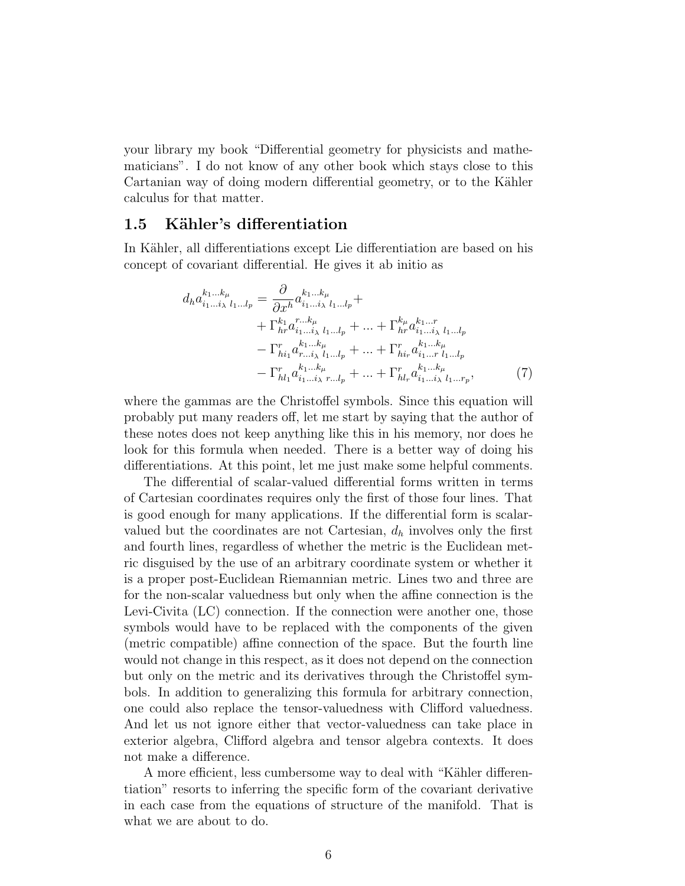your library my book "Differential geometry for physicists and mathematicians". I do not know of any other book which stays close to this Cartanian way of doing modern differential geometry, or to the Kähler calculus for that matter.

#### 1.5 Kähler's differentiation

In Kähler, all differentiations except Lie differentiation are based on his concept of covariant differential. He gives it ab initio as

$$
d_{h}a_{i_{1}...i_{\lambda}}^{k_{1}...k_{\mu}} = \frac{\partial}{\partial x^{h}} a_{i_{1}...i_{\lambda}}^{k_{1}...k_{\mu}} + + \Gamma_{hr}^{k_{1}} a_{i_{1}...i_{\lambda}}^{r...k_{\mu}} l_{1...l_{p}} + \cdots + \Gamma_{hr}^{k_{\mu}} a_{i_{1}...i_{\lambda}}^{k_{1}...r} l_{1...l_{p}} - \Gamma_{hi_{1}}^{r} a_{r...i_{\lambda}}^{k_{1}...k_{\mu}} l_{1...l_{p}} + \cdots + \Gamma_{hi_{r}}^{r} a_{i_{1}...i_{\lambda}}^{k_{1}...k_{\mu}} - \Gamma_{hi_{1}}^{r} a_{i_{1}...i_{\lambda}}^{k_{1}...k_{\mu}} + \cdots + \Gamma_{hi_{r}}^{r} a_{i_{1}...i_{\lambda}}^{k_{1}...k_{\mu}} - \Gamma_{hi_{1}}^{r} a_{i_{1}...i_{\lambda}}^{k_{1}...k_{\mu}} + \cdots + \Gamma_{hl_{r}}^{r} a_{i_{1}...i_{\lambda}}^{k_{1}...k_{\mu}} l_{1...r_{p}}, \qquad (7)
$$

where the gammas are the Christoffel symbols. Since this equation will probably put many readers off, let me start by saying that the author of these notes does not keep anything like this in his memory, nor does he look for this formula when needed. There is a better way of doing his differentiations. At this point, let me just make some helpful comments.

The differential of scalar-valued differential forms written in terms of Cartesian coordinates requires only the first of those four lines. That is good enough for many applications. If the differential form is scalarvalued but the coordinates are not Cartesian,  $d_h$  involves only the first and fourth lines, regardless of whether the metric is the Euclidean metric disguised by the use of an arbitrary coordinate system or whether it is a proper post-Euclidean Riemannian metric. Lines two and three are for the non-scalar valuedness but only when the affine connection is the Levi-Civita (LC) connection. If the connection were another one, those symbols would have to be replaced with the components of the given (metric compatible) affine connection of the space. But the fourth line would not change in this respect, as it does not depend on the connection but only on the metric and its derivatives through the Christoffel symbols. In addition to generalizing this formula for arbitrary connection, one could also replace the tensor-valuedness with Clifford valuedness. And let us not ignore either that vector-valuedness can take place in exterior algebra, Clifford algebra and tensor algebra contexts. It does not make a difference.

A more efficient, less cumbersome way to deal with "Kähler differentiation" resorts to inferring the specific form of the covariant derivative in each case from the equations of structure of the manifold. That is what we are about to do.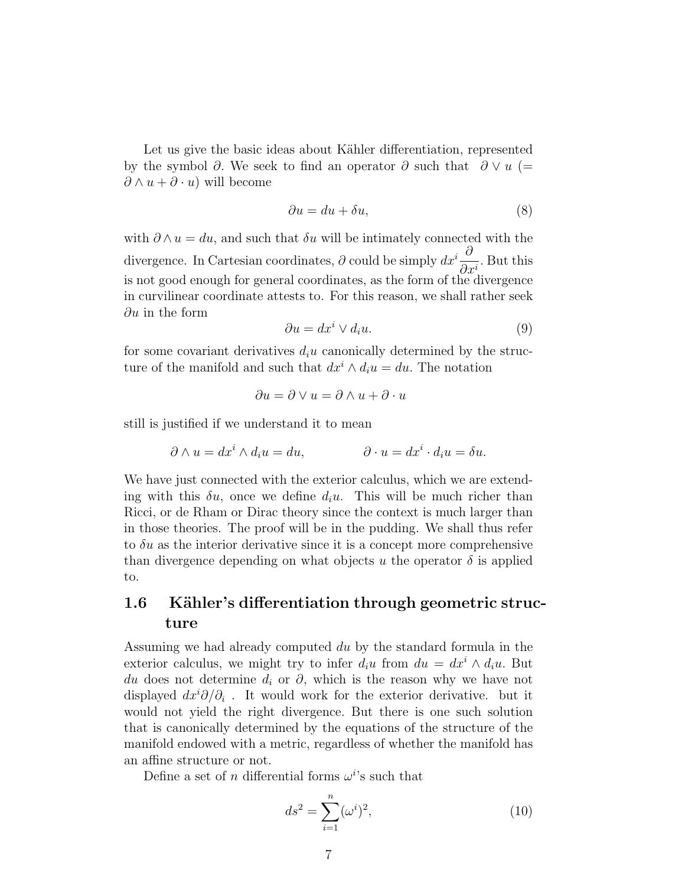Let us give the basic ideas about Kähler differentiation, represented by the symbol ∂. We seek to find an operator ∂ such that  $\partial \vee u$  (=  $\partial \wedge u + \partial \cdot u$  will become

$$
\partial u = du + \delta u,\tag{8}
$$

with  $\partial \wedge u = du$ , and such that  $\delta u$  will be intimately connected with the divergence. In Cartesian coordinates,  $\partial$  could be simply  $dx^i\frac{\partial}{\partial x^j}$  $\frac{\partial}{\partial x_i^i}$ . But this is not good enough for general coordinates, as the form of the divergence in curvilinear coordinate attests to. For this reason, we shall rather seek  $\partial u$  in the form

$$
\partial u = dx^i \vee d_i u. \tag{9}
$$

for some covariant derivatives  $d_iu$  canonically determined by the structure of the manifold and such that  $dx^{i} \wedge d_{i}u = du$ . The notation

$$
\partial u = \partial \vee u = \partial \wedge u + \partial \cdot u
$$

still is justified if we understand it to mean

$$
\partial \wedge u = dx^i \wedge d_i u = du, \qquad \qquad \partial \cdot u = dx^i \cdot d_i u = \delta u.
$$

We have just connected with the exterior calculus, which we are extending with this  $\delta u$ , once we define  $d_i u$ . This will be much richer than Ricci, or de Rham or Dirac theory since the context is much larger than in those theories. The proof will be in the pudding. We shall thus refer to  $\delta u$  as the interior derivative since it is a concept more comprehensive than divergence depending on what objects u the operator  $\delta$  is applied to.

## 1.6 Kähler's differentiation through geometric structure

Assuming we had already computed du by the standard formula in the exterior calculus, we might try to infer  $d_iu$  from  $du = dx^i \wedge d_iu$ . But du does not determine  $d_i$  or  $\partial$ , which is the reason why we have not displayed  $dx^{i}\partial/\partial_{i}$ . It would work for the exterior derivative. but it would not yield the right divergence. But there is one such solution that is canonically determined by the equations of the structure of the manifold endowed with a metric, regardless of whether the manifold has an affine structure or not.

Define a set of n differential forms  $\omega^{i}$ 's such that

$$
ds^{2} = \sum_{i=1}^{n} (\omega^{i})^{2},
$$
\n(10)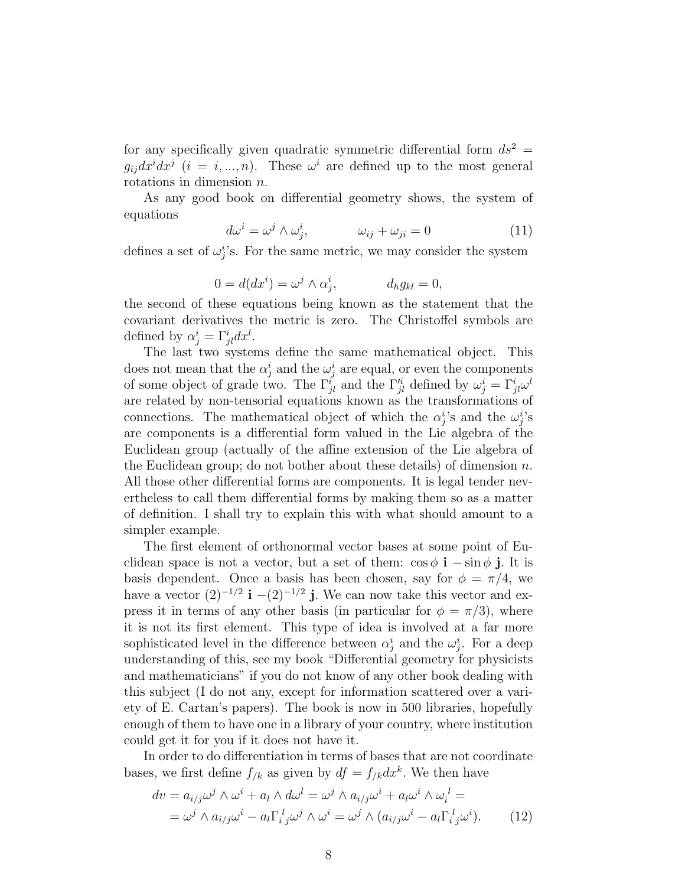for any specifically given quadratic symmetric differential form  $ds^2 =$  $g_{ij}dx^idx^j$  (i = i, ..., n). These  $\omega^i$  are defined up to the most general rotations in dimension n.

As any good book on differential geometry shows, the system of equations

$$
d\omega^i = \omega^j \wedge \omega^i_j, \qquad \omega_{ij} + \omega_{ji} = 0 \tag{11}
$$

defines a set of  $\omega_j^i$ 's. For the same metric, we may consider the system

$$
0 = d(dxi) = \omegaj \wedge \alphaji, \qquad d_h g_{kl} = 0,
$$

the second of these equations being known as the statement that the covariant derivatives the metric is zero. The Christoffel symbols are defined by  $\alpha_j^i = \Gamma_{jl}^i dx^l$ .

The last two systems define the same mathematical object. This does not mean that the  $\alpha_j^i$  and the  $\omega_j^i$  are equal, or even the components of some object of grade two. The  $\Gamma_{jl}^{i}$  and the  $\Gamma_{jl}^{\prime i}$  defined by  $\omega_j^i = \Gamma_{jl}^i \omega^l$ are related by non-tensorial equations known as the transformations of connections. The mathematical object of which the  $\alpha_j^i$ 's and the  $\omega_j^i$ 's are components is a differential form valued in the Lie algebra of the Euclidean group (actually of the affine extension of the Lie algebra of the Euclidean group; do not bother about these details) of dimension  $n$ . All those other differential forms are components. It is legal tender nevertheless to call them differential forms by making them so as a matter of definition. I shall try to explain this with what should amount to a simpler example.

The first element of orthonormal vector bases at some point of Euclidean space is not a vector, but a set of them:  $\cos \phi \mathbf{i} - \sin \phi \mathbf{j}$ . It is basis dependent. Once a basis has been chosen, say for  $\phi = \pi/4$ , we have a vector  $(2)^{-1/2}$  **i**  $-(2)^{-1/2}$  **j**. We can now take this vector and express it in terms of any other basis (in particular for  $\phi = \pi/3$ ), where it is not its first element. This type of idea is involved at a far more sophisticated level in the difference between  $\alpha_j^i$  and the  $\omega_j^i$ . For a deep understanding of this, see my book "Differential geometry for physicists and mathematicians" if you do not know of any other book dealing with this subject (I do not any, except for information scattered over a variety of E. Cartan's papers). The book is now in 500 libraries, hopefully enough of them to have one in a library of your country, where institution could get it for you if it does not have it.

In order to do differentiation in terms of bases that are not coordinate bases, we first define  $f_{/k}$  as given by  $df = f_{/k} dx^k$ . We then have

$$
dv = a_{i/j}\omega^j \wedge \omega^i + a_l \wedge d\omega^l = \omega^j \wedge a_{i/j}\omega^i + a_l\omega^i \wedge \omega_i^l =
$$
  
=  $\omega^j \wedge a_{i/j}\omega^i - a_l\Gamma_{i j}^l\omega^j \wedge \omega^i = \omega^j \wedge (a_{i/j}\omega^i - a_l\Gamma_{i j}^l\omega^i).$  (12)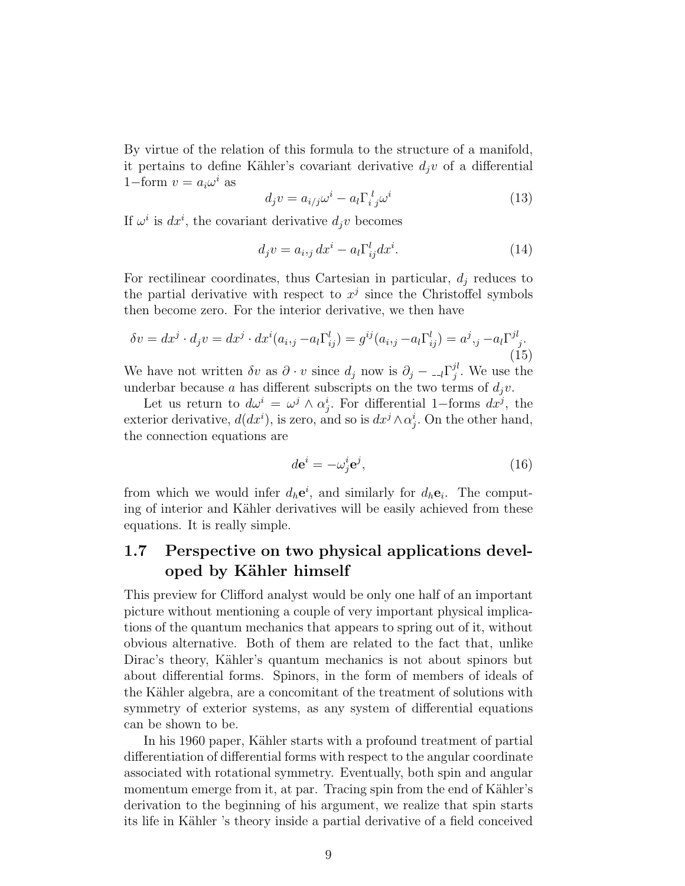By virtue of the relation of this formula to the structure of a manifold, it pertains to define Kähler's covariant derivative  $d_jv$  of a differential 1–form  $v = a_i \omega^i$  as

$$
d_j v = a_{i/j} \omega^i - a_l \Gamma_{i\ j}^l \omega^i \tag{13}
$$

If  $\omega^i$  is  $dx^i$ , the covariant derivative  $d_jv$  becomes

$$
d_j v = a_{i,j} dx^i - a_l \Gamma_{ij}^l dx^i.
$$
 (14)

For rectilinear coordinates, thus Cartesian in particular,  $d_i$  reduces to the partial derivative with respect to  $x^j$  since the Christoffel symbols then become zero. For the interior derivative, we then have

$$
\delta v = dx^j \cdot d_j v = dx^j \cdot dx^i (a_{i,j} - a_l \Gamma_{ij}^l) = g^{ij} (a_{i,j} - a_l \Gamma_{ij}^l) = a^j, j - a_l \Gamma_{j}^{jl}.
$$
\n(15)

We have not written  $\delta v$  as  $\partial \cdot v$  since  $d_j$  now is  $\partial_j - I_i \Gamma_j^{jl}$  $j^{i}$ . We use the underbar because a has different subscripts on the two terms of  $d_i v$ .

Let us return to  $d\omega^i = \omega^j \wedge \alpha_j^i$ . For differential 1-forms  $dx^j$ , the exterior derivative,  $d(dx^i)$ , is zero, and so is  $dx^j \wedge \alpha_j^i$ . On the other hand, the connection equations are

$$
d\mathbf{e}^i = -\omega_j^i \mathbf{e}^j,\tag{16}
$$

from which we would infer  $d_h e^i$ , and similarly for  $d_h e_i$ . The computing of interior and Kähler derivatives will be easily achieved from these equations. It is really simple.

# 1.7 Perspective on two physical applications developed by Kähler himself

This preview for Clifford analyst would be only one half of an important picture without mentioning a couple of very important physical implications of the quantum mechanics that appears to spring out of it, without obvious alternative. Both of them are related to the fact that, unlike Dirac's theory, Kähler's quantum mechanics is not about spinors but about differential forms. Spinors, in the form of members of ideals of the Kähler algebra, are a concomitant of the treatment of solutions with symmetry of exterior systems, as any system of differential equations can be shown to be.

In his 1960 paper, Kähler starts with a profound treatment of partial differentiation of differential forms with respect to the angular coordinate associated with rotational symmetry. Eventually, both spin and angular momentum emerge from it, at par. Tracing spin from the end of Kähler's derivation to the beginning of his argument, we realize that spin starts its life in Kähler 's theory inside a partial derivative of a field conceived